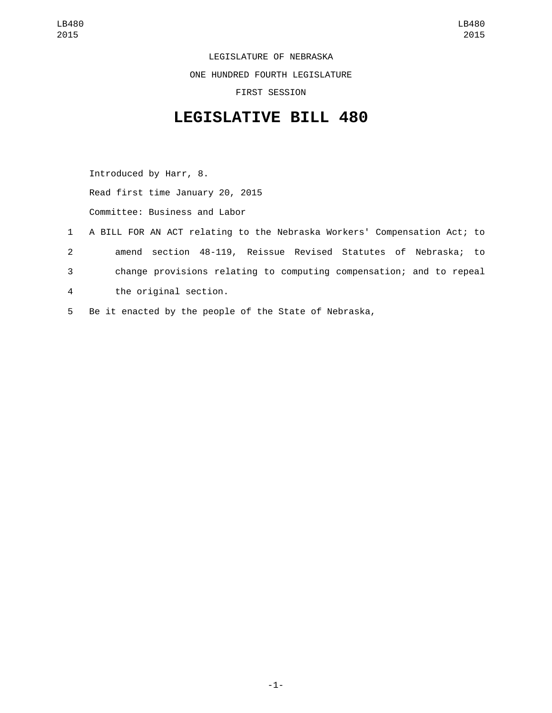LEGISLATURE OF NEBRASKA ONE HUNDRED FOURTH LEGISLATURE FIRST SESSION

## **LEGISLATIVE BILL 480**

Introduced by Harr, 8. Read first time January 20, 2015 Committee: Business and Labor

 A BILL FOR AN ACT relating to the Nebraska Workers' Compensation Act; to amend section 48-119, Reissue Revised Statutes of Nebraska; to change provisions relating to computing compensation; and to repeal the original section.4 Be it enacted by the people of the State of Nebraska,